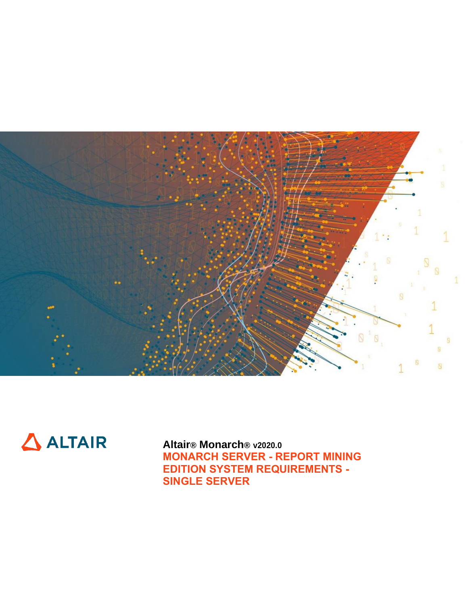



**Altair® Monarch® v2020.0 MONARCH SERVER - REPORT MINING EDITION SYSTEM REQUIREMENTS - SINGLE SERVER**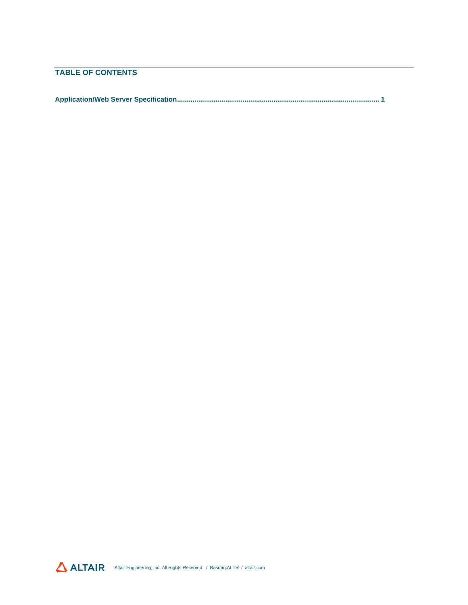## **TABLE OF CONTENTS**

**[Application/Web Server Specification.........................................................................................................](#page-2-0) 1**

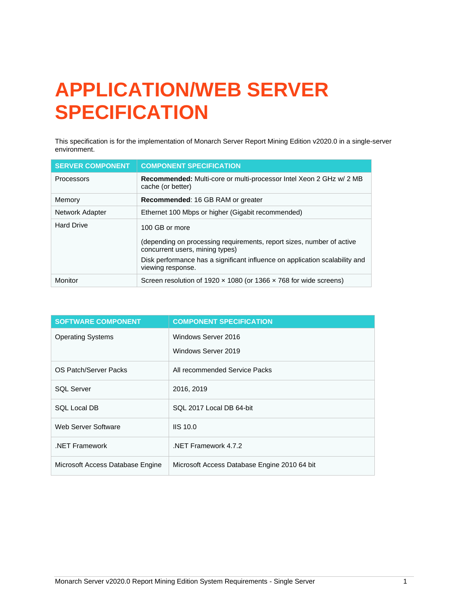# <span id="page-2-0"></span>**APPLICATION/WEB SERVER SPECIFICATION**

This specification is for the implementation of Monarch Server Report Mining Edition v2020.0 in a single-server environment.

| <b>SERVER COMPONENT</b> | <b>COMPONENT SPECIFICATION</b>                                                                                                                                                                                                 |
|-------------------------|--------------------------------------------------------------------------------------------------------------------------------------------------------------------------------------------------------------------------------|
| Processors              | Recommended: Multi-core or multi-processor Intel Xeon 2 GHz w/ 2 MB<br>cache (or better)                                                                                                                                       |
| Memory                  | <b>Recommended: 16 GB RAM or greater</b>                                                                                                                                                                                       |
| Network Adapter         | Ethernet 100 Mbps or higher (Gigabit recommended)                                                                                                                                                                              |
| <b>Hard Drive</b>       | 100 GB or more<br>(depending on processing requirements, report sizes, number of active<br>concurrent users, mining types)<br>Disk performance has a significant influence on application scalability and<br>viewing response. |
| Monitor                 | Screen resolution of 1920 $\times$ 1080 (or 1366 $\times$ 768 for wide screens)                                                                                                                                                |

| <b>SOFTWARE COMPONENT</b>        | <b>COMPONENT SPECIFICATION</b>               |
|----------------------------------|----------------------------------------------|
| <b>Operating Systems</b>         | Windows Server 2016                          |
|                                  | Windows Server 2019                          |
| OS Patch/Server Packs            | All recommended Service Packs                |
| <b>SOL Server</b>                | 2016, 2019                                   |
| <b>SQL Local DB</b>              | SQL 2017 Local DB 64-bit                     |
| Web Server Software              | $IIS$ 10.0                                   |
| .NET Framework                   | NET Framework 4.7.2                          |
| Microsoft Access Database Engine | Microsoft Access Database Engine 2010 64 bit |